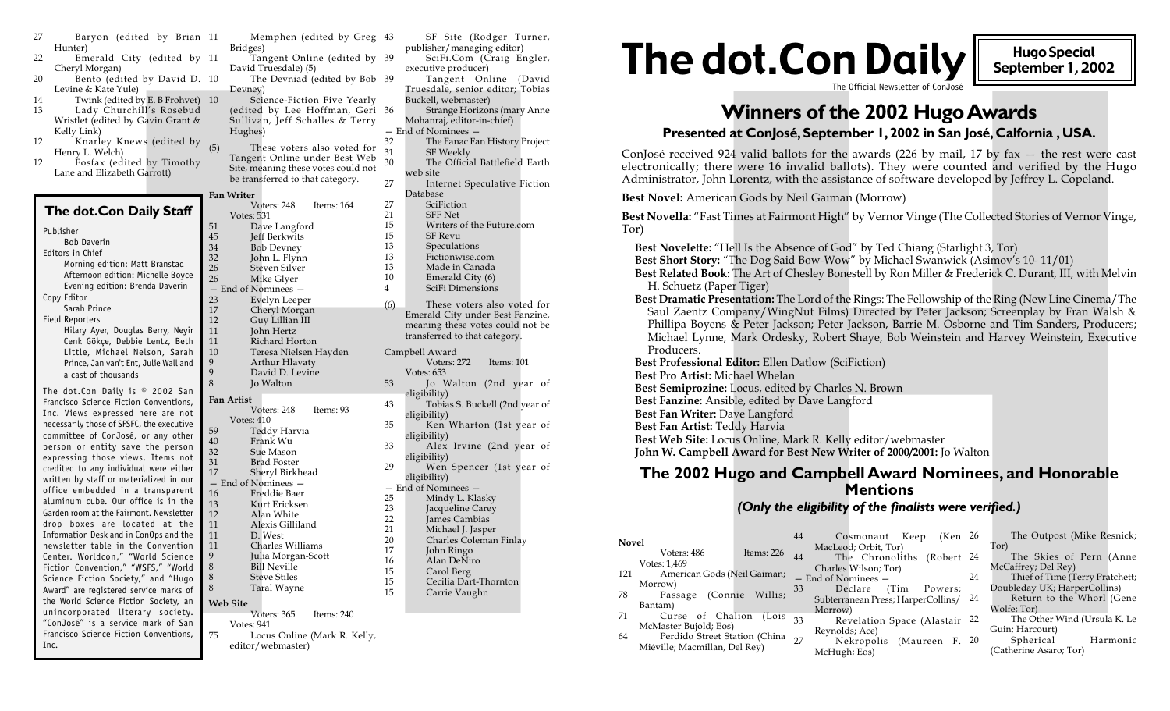| Bridges)<br>Hunter)<br><b>The dot.Con Daily</b><br><b>Hugo Special</b><br>Tangent Online (edited by 39<br>SciFi.Com (Craig Engler,<br>Emerald City (edited by 11<br>September 1, 2002<br>David Truesdale) (5)<br>Cheryl Morgan)<br>executive producer)<br>Bento (edited by David D. 10<br>The Devniad (edited by Bob 39<br>Tangent Online (David<br>The Official Newsletter of ConJosé<br>Levine & Kate Yule)<br>Truesdale, senior editor; Tobias<br>Devney)<br>Twink (edited by E. B Frohvet) 10<br>Science-Fiction Five Yearly<br>Buckell, webmaster)<br><b>Winners of the 2002 Hugo Awards</b><br>Lady Churchill's Rosebud<br>(edited by Lee Hoffman, Geri 36<br>Strange Horizons (mary Anne<br>Wristlet (edited by Gavin Grant &<br>Sullivan, Jeff Schalles & Terry<br>Mohanraj, editor-in-chief)<br>- End of Nominees -<br>Presented at Conjosé, September 1, 2002 in San José, Calfornia, USA.<br>Kelly Link)<br>Hughes)<br>Knarley Knews (edited by $(5)$<br>The Fanac Fan History Project<br>32<br>These voters also voted for<br>SF Weekly<br>Henry L. Welch)<br>Tangent Online under Best Web<br>30<br>The Official Battlefield Earth<br>Fosfax (edited by Timothy<br>electronically; there were 16 invalid ballots). They were counted and verified by the Hugo<br>Site, meaning these votes could not<br>Lane and Elizabeth Garrott)<br>web site<br>Administrator, John Lorentz, with the assistance of software developed by Jeffrey L. Copeland.<br>be transferred to that category.<br>27<br>Internet Speculative Fiction<br>Database<br><b>Fan Writer</b><br>Best Novel: American Gods by Neil Gaiman (Morrow)<br>27<br>SciFiction<br>Voters: 248<br>Items: 164<br>The dot. Con Daily Staff<br>21<br><b>SFF Net</b><br>Votes: 531<br>Best Novella: "Fast Times at Fairmont High" by Vernor Vinge (The Collected Stories of Vernor Vinge,<br>15<br>Writers of the Future.com<br>51<br>Dave Langford<br>Tor)<br>Publisher<br>15<br>SF Revu<br>45<br>Jeff Berkwits<br><b>Bob Daverin</b><br>13<br>Speculations<br>Best Novelette: "Hell Is the Absence of God" by Ted Chiang (Starlight 3, Tor)<br>34<br><b>Bob Devney</b><br>Editors in Chief<br>13<br>Fictionwise.com<br>32<br>John L. Flynn<br>Best Short Story: "The Dog Said Bow-Wow" by Michael Swanwick (Asimov's 10-11/01)<br>Morning edition: Matt Branstad<br>13<br>26<br>Made in Canada<br>Steven Silver<br>Best Related Book: The Art of Chesley Bonestell by Ron Miller & Frederick C. Durant, III, with Melvin<br>Afternoon edition: Michelle Boyce<br>10<br>Emerald City (6)<br>26<br>Mike Glyer<br>H. Schuetz (Paper Tiger)<br>Evening edition: Brenda Daverin<br>SciFi Dimensions<br>4<br>- End of Nominees -<br>Copy Editor<br>Best Dramatic Presentation: The Lord of the Rings: The Fellowship of the Ring (New Line Cinema/The<br>23<br>Evelyn Leeper<br>(6)<br>These voters also voted for<br>Sarah Prince<br>17<br>Cheryl Morgan<br>Saul Zaentz Company/WingNut Films) Directed by Peter Jackson; Screenplay by Fran Walsh &<br>Emerald City under Best Fanzine,<br>Field Reporters<br>12<br>Guy Lillian III<br>Phillipa Boyens & Peter Jackson; Peter Jackson, Barrie M. Osborne and Tim Sanders, Producers;<br>meaning these votes could not be<br>Hilary Ayer, Douglas Berry, Neyir<br>11<br>John Hertz<br>transferred to that category.<br>Michael Lynne, Mark Ordesky, Robert Shaye, Bob Weinstein and Harvey Weinstein, Executive<br>Cenk Gökçe, Debbie Lentz, Beth<br>11<br>Richard Horton<br>Producers.<br>10<br>Teresa Nielsen Hayden<br>Campbell Award<br>Little, Michael Nelson, Sarah<br>Best Professional Editor: Ellen Datlow (SciFiction)<br>Arthur Hlavaty<br>Voters: 272<br>Items: 101<br>Prince, Jan van't Ent, Julie Wall and<br>David D. Levine<br>Votes: $653$<br>a cast of thousands<br>Best Pro Artist: Michael Whelan<br>Jo Walton<br>53<br>Jo Walton (2nd year of<br>Best Semiprozine: Locus, edited by Charles N. Brown<br>The dot.Con Daily is © 2002 San<br>eligibility)<br>Fan Artist<br>Best Fanzine: Ansible, edited by Dave Langford<br>Francisco Science Fiction Conventions,<br>Tobias S. Buckell (2nd year of<br>43<br>Voters: 248<br>Items: 93<br>Best Fan Writer: Dave Langford<br>Inc. Views expressed here are not<br>eligibility)<br>Votes: $410$<br>necessarily those of SFSFC, the executive<br>Ken Wharton (1st year of<br>35<br>Best Fan Artist: Teddy Harvia<br>59<br>Teddy Harvia<br>committee of ConJosé, or any other<br>eligibility)<br>Best Web Site: Locus Online, Mark R. Kelly editor/webmaster<br>40<br>Frank Wu<br>Alex Irvine (2nd year of<br>33<br>person or entity save the person<br>32<br>John W. Campbell Award for Best New Writer of 2000/2001: Jo Walton<br>Sue Mason<br>eligibility)<br>expressing those views. Items not<br>31<br><b>Brad Foster</b><br>Wen Spencer (1st year of<br>29<br>credited to any individual were either<br>The 2002 Hugo and Campbell Award Nominees, and Honorable<br>17<br>Sheryl Birkhead<br>eligibility)<br>written by staff or materialized in our<br>- End of Nominees -<br>- End of Nominees -<br><b>Mentions</b><br>office embedded in a transparent<br>Freddie Baer<br>16<br>25<br>Mindy L. Klasky<br>aluminum cube. Our office is in the<br>13<br>Kurt Ericksen<br>(Only the eligibility of the finalists were verified.)<br>23<br>Jacqueline Carey<br>Garden room at the Fairmont. Newsletter<br>12<br>Alan White<br>22<br>James Cambias<br>drop boxes are located at the<br>11<br>Alexis Gilliland<br>21<br>Michael J. Jasper<br>Information Desk and in ConOps and the<br>11<br>D. West<br>Cosmonaut Keep (Ken 26<br>20<br>Charles Coleman Finlay<br>Novel<br>newsletter table in the Convention<br>11<br>Charles Williams<br>Tor)<br>MacLeod; Orbit, Tor)<br>17<br>John Ringo<br>Items: 226<br>Voters: 486<br>Julia Morgan-Scott<br>The Chronoliths (Robert 24<br>Center. Worldcon," "World Science<br>44<br>Alan DeNiro<br>16<br>Votes: 1,469<br>8<br><b>Bill Neville</b><br>McCaffrey; Del Rey)<br>Fiction Convention," "WSFS," "World<br>Charles Wilson; Tor)<br>15<br>Carol Berg<br>American Gods (Neil Gaiman;<br>121<br><b>Steve Stiles</b><br>24<br>Science Fiction Society," and "Hugo<br>- End of Nominees -<br>15<br>Cecilia Dart-Thornton<br>Morrow)<br>Taral Wayne<br>Doubleday UK; HarperCollins)<br>8<br>33<br>Declare (Tim Powers;<br>Award" are registered service marks of<br>15<br>Carrie Vaughn<br>78<br>Passage (Connie Willis;<br>Subterranean Press; HarperCollins/ 24<br>the World Science Fiction Society, an<br>Web Site<br>Bantam)<br>Wolfe; Tor)<br>Morrow)<br>unincorporated literary society.<br>Voters: 365<br>Items: 240<br>Curse of Chalion (Lois $33$<br>71<br>Revelation Space (Alastair 22<br>"ConJosé" is a service mark of San<br><b>Votes: 941</b><br>McMaster Bujold; Eos)<br>Guin; Harcourt)<br>Reynolds; Ace)<br>Francisco Science Fiction Conventions,<br>75<br>Locus Online (Mark R. Kelly,<br>Perdido Street Station (China 27<br>64<br>Spherical<br>Nekropolis (Maureen F. 20<br>editor/webmaster)<br>Inc.<br>Miéville; Macmillan, Del Rey)<br>(Catherine Asaro; Tor)<br>McHugh; Eos) | Baryon (edited by Brian 11 | Memphen (edited by Greg 43 | SF Site (Rodger Turner,    |                                                                                                  |
|---------------------------------------------------------------------------------------------------------------------------------------------------------------------------------------------------------------------------------------------------------------------------------------------------------------------------------------------------------------------------------------------------------------------------------------------------------------------------------------------------------------------------------------------------------------------------------------------------------------------------------------------------------------------------------------------------------------------------------------------------------------------------------------------------------------------------------------------------------------------------------------------------------------------------------------------------------------------------------------------------------------------------------------------------------------------------------------------------------------------------------------------------------------------------------------------------------------------------------------------------------------------------------------------------------------------------------------------------------------------------------------------------------------------------------------------------------------------------------------------------------------------------------------------------------------------------------------------------------------------------------------------------------------------------------------------------------------------------------------------------------------------------------------------------------------------------------------------------------------------------------------------------------------------------------------------------------------------------------------------------------------------------------------------------------------------------------------------------------------------------------------------------------------------------------------------------------------------------------------------------------------------------------------------------------------------------------------------------------------------------------------------------------------------------------------------------------------------------------------------------------------------------------------------------------------------------------------------------------------------------------------------------------------------------------------------------------------------------------------------------------------------------------------------------------------------------------------------------------------------------------------------------------------------------------------------------------------------------------------------------------------------------------------------------------------------------------------------------------------------------------------------------------------------------------------------------------------------------------------------------------------------------------------------------------------------------------------------------------------------------------------------------------------------------------------------------------------------------------------------------------------------------------------------------------------------------------------------------------------------------------------------------------------------------------------------------------------------------------------------------------------------------------------------------------------------------------------------------------------------------------------------------------------------------------------------------------------------------------------------------------------------------------------------------------------------------------------------------------------------------------------------------------------------------------------------------------------------------------------------------------------------------------------------------------------------------------------------------------------------------------------------------------------------------------------------------------------------------------------------------------------------------------------------------------------------------------------------------------------------------------------------------------------------------------------------------------------------------------------------------------------------------------------------------------------------------------------------------------------------------------------------------------------------------------------------------------------------------------------------------------------------------------------------------------------------------------------------------------------------------------------------------------------------------------------------------------------------------------------------------------------------------------------------------------------------------------------------------------------------------------------------------------------------------------------------------------------------------------------------------------------------------------------------------------------------------------------------------------------------------------------------------------------------------------------------------------------------------------------------------------------------------------------------------------------------------------------------------------------------------------------------------------------------------------------------------------------------------------------------------------------------------------------------------------------------------------------------------------------------------------------------------------------------------------------------------------------------------------------------------------------------------------------------------------------------------------------------------------------------------------------------------------------------------------------------------------------------------------------------------------------------------------------------------------------------------------------------------------------------------------------------------------------------------------------------------------------------------------------------------------------------------------------------------------------------------------------------------------------------------------------------------------------------------------------------------------------------------------------------------------------------------------------------------------------------------------------------------------------------------------|----------------------------|----------------------------|----------------------------|--------------------------------------------------------------------------------------------------|
|                                                                                                                                                                                                                                                                                                                                                                                                                                                                                                                                                                                                                                                                                                                                                                                                                                                                                                                                                                                                                                                                                                                                                                                                                                                                                                                                                                                                                                                                                                                                                                                                                                                                                                                                                                                                                                                                                                                                                                                                                                                                                                                                                                                                                                                                                                                                                                                                                                                                                                                                                                                                                                                                                                                                                                                                                                                                                                                                                                                                                                                                                                                                                                                                                                                                                                                                                                                                                                                                                                                                                                                                                                                                                                                                                                                                                                                                                                                                                                                                                                                                                                                                                                                                                                                                                                                                                                                                                                                                                                                                                                                                                                                                                                                                                                                                                                                                                                                                                                                                                                                                                                                                                                                                                                                                                                                                                                                                                                                                                                                                                                                                                                                                                                                                                                                                                                                                                                                                                                                                                                                                                                                                                                                                                                                                                                                                                                                                                                                                                                                                                                                                                                                                                                                                                                                                                                                                                                                                                                                                                                                                                                                                 |                            |                            | publisher/managing editor) |                                                                                                  |
|                                                                                                                                                                                                                                                                                                                                                                                                                                                                                                                                                                                                                                                                                                                                                                                                                                                                                                                                                                                                                                                                                                                                                                                                                                                                                                                                                                                                                                                                                                                                                                                                                                                                                                                                                                                                                                                                                                                                                                                                                                                                                                                                                                                                                                                                                                                                                                                                                                                                                                                                                                                                                                                                                                                                                                                                                                                                                                                                                                                                                                                                                                                                                                                                                                                                                                                                                                                                                                                                                                                                                                                                                                                                                                                                                                                                                                                                                                                                                                                                                                                                                                                                                                                                                                                                                                                                                                                                                                                                                                                                                                                                                                                                                                                                                                                                                                                                                                                                                                                                                                                                                                                                                                                                                                                                                                                                                                                                                                                                                                                                                                                                                                                                                                                                                                                                                                                                                                                                                                                                                                                                                                                                                                                                                                                                                                                                                                                                                                                                                                                                                                                                                                                                                                                                                                                                                                                                                                                                                                                                                                                                                                                                 |                            |                            |                            |                                                                                                  |
|                                                                                                                                                                                                                                                                                                                                                                                                                                                                                                                                                                                                                                                                                                                                                                                                                                                                                                                                                                                                                                                                                                                                                                                                                                                                                                                                                                                                                                                                                                                                                                                                                                                                                                                                                                                                                                                                                                                                                                                                                                                                                                                                                                                                                                                                                                                                                                                                                                                                                                                                                                                                                                                                                                                                                                                                                                                                                                                                                                                                                                                                                                                                                                                                                                                                                                                                                                                                                                                                                                                                                                                                                                                                                                                                                                                                                                                                                                                                                                                                                                                                                                                                                                                                                                                                                                                                                                                                                                                                                                                                                                                                                                                                                                                                                                                                                                                                                                                                                                                                                                                                                                                                                                                                                                                                                                                                                                                                                                                                                                                                                                                                                                                                                                                                                                                                                                                                                                                                                                                                                                                                                                                                                                                                                                                                                                                                                                                                                                                                                                                                                                                                                                                                                                                                                                                                                                                                                                                                                                                                                                                                                                                                 |                            |                            |                            |                                                                                                  |
|                                                                                                                                                                                                                                                                                                                                                                                                                                                                                                                                                                                                                                                                                                                                                                                                                                                                                                                                                                                                                                                                                                                                                                                                                                                                                                                                                                                                                                                                                                                                                                                                                                                                                                                                                                                                                                                                                                                                                                                                                                                                                                                                                                                                                                                                                                                                                                                                                                                                                                                                                                                                                                                                                                                                                                                                                                                                                                                                                                                                                                                                                                                                                                                                                                                                                                                                                                                                                                                                                                                                                                                                                                                                                                                                                                                                                                                                                                                                                                                                                                                                                                                                                                                                                                                                                                                                                                                                                                                                                                                                                                                                                                                                                                                                                                                                                                                                                                                                                                                                                                                                                                                                                                                                                                                                                                                                                                                                                                                                                                                                                                                                                                                                                                                                                                                                                                                                                                                                                                                                                                                                                                                                                                                                                                                                                                                                                                                                                                                                                                                                                                                                                                                                                                                                                                                                                                                                                                                                                                                                                                                                                                                                 |                            |                            |                            |                                                                                                  |
|                                                                                                                                                                                                                                                                                                                                                                                                                                                                                                                                                                                                                                                                                                                                                                                                                                                                                                                                                                                                                                                                                                                                                                                                                                                                                                                                                                                                                                                                                                                                                                                                                                                                                                                                                                                                                                                                                                                                                                                                                                                                                                                                                                                                                                                                                                                                                                                                                                                                                                                                                                                                                                                                                                                                                                                                                                                                                                                                                                                                                                                                                                                                                                                                                                                                                                                                                                                                                                                                                                                                                                                                                                                                                                                                                                                                                                                                                                                                                                                                                                                                                                                                                                                                                                                                                                                                                                                                                                                                                                                                                                                                                                                                                                                                                                                                                                                                                                                                                                                                                                                                                                                                                                                                                                                                                                                                                                                                                                                                                                                                                                                                                                                                                                                                                                                                                                                                                                                                                                                                                                                                                                                                                                                                                                                                                                                                                                                                                                                                                                                                                                                                                                                                                                                                                                                                                                                                                                                                                                                                                                                                                                                                 |                            |                            |                            |                                                                                                  |
|                                                                                                                                                                                                                                                                                                                                                                                                                                                                                                                                                                                                                                                                                                                                                                                                                                                                                                                                                                                                                                                                                                                                                                                                                                                                                                                                                                                                                                                                                                                                                                                                                                                                                                                                                                                                                                                                                                                                                                                                                                                                                                                                                                                                                                                                                                                                                                                                                                                                                                                                                                                                                                                                                                                                                                                                                                                                                                                                                                                                                                                                                                                                                                                                                                                                                                                                                                                                                                                                                                                                                                                                                                                                                                                                                                                                                                                                                                                                                                                                                                                                                                                                                                                                                                                                                                                                                                                                                                                                                                                                                                                                                                                                                                                                                                                                                                                                                                                                                                                                                                                                                                                                                                                                                                                                                                                                                                                                                                                                                                                                                                                                                                                                                                                                                                                                                                                                                                                                                                                                                                                                                                                                                                                                                                                                                                                                                                                                                                                                                                                                                                                                                                                                                                                                                                                                                                                                                                                                                                                                                                                                                                                                 |                            |                            |                            |                                                                                                  |
|                                                                                                                                                                                                                                                                                                                                                                                                                                                                                                                                                                                                                                                                                                                                                                                                                                                                                                                                                                                                                                                                                                                                                                                                                                                                                                                                                                                                                                                                                                                                                                                                                                                                                                                                                                                                                                                                                                                                                                                                                                                                                                                                                                                                                                                                                                                                                                                                                                                                                                                                                                                                                                                                                                                                                                                                                                                                                                                                                                                                                                                                                                                                                                                                                                                                                                                                                                                                                                                                                                                                                                                                                                                                                                                                                                                                                                                                                                                                                                                                                                                                                                                                                                                                                                                                                                                                                                                                                                                                                                                                                                                                                                                                                                                                                                                                                                                                                                                                                                                                                                                                                                                                                                                                                                                                                                                                                                                                                                                                                                                                                                                                                                                                                                                                                                                                                                                                                                                                                                                                                                                                                                                                                                                                                                                                                                                                                                                                                                                                                                                                                                                                                                                                                                                                                                                                                                                                                                                                                                                                                                                                                                                                 | 13                         |                            |                            |                                                                                                  |
|                                                                                                                                                                                                                                                                                                                                                                                                                                                                                                                                                                                                                                                                                                                                                                                                                                                                                                                                                                                                                                                                                                                                                                                                                                                                                                                                                                                                                                                                                                                                                                                                                                                                                                                                                                                                                                                                                                                                                                                                                                                                                                                                                                                                                                                                                                                                                                                                                                                                                                                                                                                                                                                                                                                                                                                                                                                                                                                                                                                                                                                                                                                                                                                                                                                                                                                                                                                                                                                                                                                                                                                                                                                                                                                                                                                                                                                                                                                                                                                                                                                                                                                                                                                                                                                                                                                                                                                                                                                                                                                                                                                                                                                                                                                                                                                                                                                                                                                                                                                                                                                                                                                                                                                                                                                                                                                                                                                                                                                                                                                                                                                                                                                                                                                                                                                                                                                                                                                                                                                                                                                                                                                                                                                                                                                                                                                                                                                                                                                                                                                                                                                                                                                                                                                                                                                                                                                                                                                                                                                                                                                                                                                                 |                            |                            |                            |                                                                                                  |
|                                                                                                                                                                                                                                                                                                                                                                                                                                                                                                                                                                                                                                                                                                                                                                                                                                                                                                                                                                                                                                                                                                                                                                                                                                                                                                                                                                                                                                                                                                                                                                                                                                                                                                                                                                                                                                                                                                                                                                                                                                                                                                                                                                                                                                                                                                                                                                                                                                                                                                                                                                                                                                                                                                                                                                                                                                                                                                                                                                                                                                                                                                                                                                                                                                                                                                                                                                                                                                                                                                                                                                                                                                                                                                                                                                                                                                                                                                                                                                                                                                                                                                                                                                                                                                                                                                                                                                                                                                                                                                                                                                                                                                                                                                                                                                                                                                                                                                                                                                                                                                                                                                                                                                                                                                                                                                                                                                                                                                                                                                                                                                                                                                                                                                                                                                                                                                                                                                                                                                                                                                                                                                                                                                                                                                                                                                                                                                                                                                                                                                                                                                                                                                                                                                                                                                                                                                                                                                                                                                                                                                                                                                                                 |                            |                            |                            |                                                                                                  |
|                                                                                                                                                                                                                                                                                                                                                                                                                                                                                                                                                                                                                                                                                                                                                                                                                                                                                                                                                                                                                                                                                                                                                                                                                                                                                                                                                                                                                                                                                                                                                                                                                                                                                                                                                                                                                                                                                                                                                                                                                                                                                                                                                                                                                                                                                                                                                                                                                                                                                                                                                                                                                                                                                                                                                                                                                                                                                                                                                                                                                                                                                                                                                                                                                                                                                                                                                                                                                                                                                                                                                                                                                                                                                                                                                                                                                                                                                                                                                                                                                                                                                                                                                                                                                                                                                                                                                                                                                                                                                                                                                                                                                                                                                                                                                                                                                                                                                                                                                                                                                                                                                                                                                                                                                                                                                                                                                                                                                                                                                                                                                                                                                                                                                                                                                                                                                                                                                                                                                                                                                                                                                                                                                                                                                                                                                                                                                                                                                                                                                                                                                                                                                                                                                                                                                                                                                                                                                                                                                                                                                                                                                                                                 | 12                         |                            |                            |                                                                                                  |
|                                                                                                                                                                                                                                                                                                                                                                                                                                                                                                                                                                                                                                                                                                                                                                                                                                                                                                                                                                                                                                                                                                                                                                                                                                                                                                                                                                                                                                                                                                                                                                                                                                                                                                                                                                                                                                                                                                                                                                                                                                                                                                                                                                                                                                                                                                                                                                                                                                                                                                                                                                                                                                                                                                                                                                                                                                                                                                                                                                                                                                                                                                                                                                                                                                                                                                                                                                                                                                                                                                                                                                                                                                                                                                                                                                                                                                                                                                                                                                                                                                                                                                                                                                                                                                                                                                                                                                                                                                                                                                                                                                                                                                                                                                                                                                                                                                                                                                                                                                                                                                                                                                                                                                                                                                                                                                                                                                                                                                                                                                                                                                                                                                                                                                                                                                                                                                                                                                                                                                                                                                                                                                                                                                                                                                                                                                                                                                                                                                                                                                                                                                                                                                                                                                                                                                                                                                                                                                                                                                                                                                                                                                                                 |                            |                            |                            | ConJosé received 924 valid ballots for the awards (226 by mail, 17 by fax $-$ the rest were cast |
|                                                                                                                                                                                                                                                                                                                                                                                                                                                                                                                                                                                                                                                                                                                                                                                                                                                                                                                                                                                                                                                                                                                                                                                                                                                                                                                                                                                                                                                                                                                                                                                                                                                                                                                                                                                                                                                                                                                                                                                                                                                                                                                                                                                                                                                                                                                                                                                                                                                                                                                                                                                                                                                                                                                                                                                                                                                                                                                                                                                                                                                                                                                                                                                                                                                                                                                                                                                                                                                                                                                                                                                                                                                                                                                                                                                                                                                                                                                                                                                                                                                                                                                                                                                                                                                                                                                                                                                                                                                                                                                                                                                                                                                                                                                                                                                                                                                                                                                                                                                                                                                                                                                                                                                                                                                                                                                                                                                                                                                                                                                                                                                                                                                                                                                                                                                                                                                                                                                                                                                                                                                                                                                                                                                                                                                                                                                                                                                                                                                                                                                                                                                                                                                                                                                                                                                                                                                                                                                                                                                                                                                                                                                                 | 12                         |                            |                            |                                                                                                  |
|                                                                                                                                                                                                                                                                                                                                                                                                                                                                                                                                                                                                                                                                                                                                                                                                                                                                                                                                                                                                                                                                                                                                                                                                                                                                                                                                                                                                                                                                                                                                                                                                                                                                                                                                                                                                                                                                                                                                                                                                                                                                                                                                                                                                                                                                                                                                                                                                                                                                                                                                                                                                                                                                                                                                                                                                                                                                                                                                                                                                                                                                                                                                                                                                                                                                                                                                                                                                                                                                                                                                                                                                                                                                                                                                                                                                                                                                                                                                                                                                                                                                                                                                                                                                                                                                                                                                                                                                                                                                                                                                                                                                                                                                                                                                                                                                                                                                                                                                                                                                                                                                                                                                                                                                                                                                                                                                                                                                                                                                                                                                                                                                                                                                                                                                                                                                                                                                                                                                                                                                                                                                                                                                                                                                                                                                                                                                                                                                                                                                                                                                                                                                                                                                                                                                                                                                                                                                                                                                                                                                                                                                                                                                 |                            |                            |                            |                                                                                                  |
|                                                                                                                                                                                                                                                                                                                                                                                                                                                                                                                                                                                                                                                                                                                                                                                                                                                                                                                                                                                                                                                                                                                                                                                                                                                                                                                                                                                                                                                                                                                                                                                                                                                                                                                                                                                                                                                                                                                                                                                                                                                                                                                                                                                                                                                                                                                                                                                                                                                                                                                                                                                                                                                                                                                                                                                                                                                                                                                                                                                                                                                                                                                                                                                                                                                                                                                                                                                                                                                                                                                                                                                                                                                                                                                                                                                                                                                                                                                                                                                                                                                                                                                                                                                                                                                                                                                                                                                                                                                                                                                                                                                                                                                                                                                                                                                                                                                                                                                                                                                                                                                                                                                                                                                                                                                                                                                                                                                                                                                                                                                                                                                                                                                                                                                                                                                                                                                                                                                                                                                                                                                                                                                                                                                                                                                                                                                                                                                                                                                                                                                                                                                                                                                                                                                                                                                                                                                                                                                                                                                                                                                                                                                                 |                            |                            |                            |                                                                                                  |
|                                                                                                                                                                                                                                                                                                                                                                                                                                                                                                                                                                                                                                                                                                                                                                                                                                                                                                                                                                                                                                                                                                                                                                                                                                                                                                                                                                                                                                                                                                                                                                                                                                                                                                                                                                                                                                                                                                                                                                                                                                                                                                                                                                                                                                                                                                                                                                                                                                                                                                                                                                                                                                                                                                                                                                                                                                                                                                                                                                                                                                                                                                                                                                                                                                                                                                                                                                                                                                                                                                                                                                                                                                                                                                                                                                                                                                                                                                                                                                                                                                                                                                                                                                                                                                                                                                                                                                                                                                                                                                                                                                                                                                                                                                                                                                                                                                                                                                                                                                                                                                                                                                                                                                                                                                                                                                                                                                                                                                                                                                                                                                                                                                                                                                                                                                                                                                                                                                                                                                                                                                                                                                                                                                                                                                                                                                                                                                                                                                                                                                                                                                                                                                                                                                                                                                                                                                                                                                                                                                                                                                                                                                                                 |                            |                            |                            |                                                                                                  |
|                                                                                                                                                                                                                                                                                                                                                                                                                                                                                                                                                                                                                                                                                                                                                                                                                                                                                                                                                                                                                                                                                                                                                                                                                                                                                                                                                                                                                                                                                                                                                                                                                                                                                                                                                                                                                                                                                                                                                                                                                                                                                                                                                                                                                                                                                                                                                                                                                                                                                                                                                                                                                                                                                                                                                                                                                                                                                                                                                                                                                                                                                                                                                                                                                                                                                                                                                                                                                                                                                                                                                                                                                                                                                                                                                                                                                                                                                                                                                                                                                                                                                                                                                                                                                                                                                                                                                                                                                                                                                                                                                                                                                                                                                                                                                                                                                                                                                                                                                                                                                                                                                                                                                                                                                                                                                                                                                                                                                                                                                                                                                                                                                                                                                                                                                                                                                                                                                                                                                                                                                                                                                                                                                                                                                                                                                                                                                                                                                                                                                                                                                                                                                                                                                                                                                                                                                                                                                                                                                                                                                                                                                                                                 |                            |                            |                            |                                                                                                  |
|                                                                                                                                                                                                                                                                                                                                                                                                                                                                                                                                                                                                                                                                                                                                                                                                                                                                                                                                                                                                                                                                                                                                                                                                                                                                                                                                                                                                                                                                                                                                                                                                                                                                                                                                                                                                                                                                                                                                                                                                                                                                                                                                                                                                                                                                                                                                                                                                                                                                                                                                                                                                                                                                                                                                                                                                                                                                                                                                                                                                                                                                                                                                                                                                                                                                                                                                                                                                                                                                                                                                                                                                                                                                                                                                                                                                                                                                                                                                                                                                                                                                                                                                                                                                                                                                                                                                                                                                                                                                                                                                                                                                                                                                                                                                                                                                                                                                                                                                                                                                                                                                                                                                                                                                                                                                                                                                                                                                                                                                                                                                                                                                                                                                                                                                                                                                                                                                                                                                                                                                                                                                                                                                                                                                                                                                                                                                                                                                                                                                                                                                                                                                                                                                                                                                                                                                                                                                                                                                                                                                                                                                                                                                 |                            |                            |                            |                                                                                                  |
|                                                                                                                                                                                                                                                                                                                                                                                                                                                                                                                                                                                                                                                                                                                                                                                                                                                                                                                                                                                                                                                                                                                                                                                                                                                                                                                                                                                                                                                                                                                                                                                                                                                                                                                                                                                                                                                                                                                                                                                                                                                                                                                                                                                                                                                                                                                                                                                                                                                                                                                                                                                                                                                                                                                                                                                                                                                                                                                                                                                                                                                                                                                                                                                                                                                                                                                                                                                                                                                                                                                                                                                                                                                                                                                                                                                                                                                                                                                                                                                                                                                                                                                                                                                                                                                                                                                                                                                                                                                                                                                                                                                                                                                                                                                                                                                                                                                                                                                                                                                                                                                                                                                                                                                                                                                                                                                                                                                                                                                                                                                                                                                                                                                                                                                                                                                                                                                                                                                                                                                                                                                                                                                                                                                                                                                                                                                                                                                                                                                                                                                                                                                                                                                                                                                                                                                                                                                                                                                                                                                                                                                                                                                                 |                            |                            |                            |                                                                                                  |
|                                                                                                                                                                                                                                                                                                                                                                                                                                                                                                                                                                                                                                                                                                                                                                                                                                                                                                                                                                                                                                                                                                                                                                                                                                                                                                                                                                                                                                                                                                                                                                                                                                                                                                                                                                                                                                                                                                                                                                                                                                                                                                                                                                                                                                                                                                                                                                                                                                                                                                                                                                                                                                                                                                                                                                                                                                                                                                                                                                                                                                                                                                                                                                                                                                                                                                                                                                                                                                                                                                                                                                                                                                                                                                                                                                                                                                                                                                                                                                                                                                                                                                                                                                                                                                                                                                                                                                                                                                                                                                                                                                                                                                                                                                                                                                                                                                                                                                                                                                                                                                                                                                                                                                                                                                                                                                                                                                                                                                                                                                                                                                                                                                                                                                                                                                                                                                                                                                                                                                                                                                                                                                                                                                                                                                                                                                                                                                                                                                                                                                                                                                                                                                                                                                                                                                                                                                                                                                                                                                                                                                                                                                                                 |                            |                            |                            |                                                                                                  |
|                                                                                                                                                                                                                                                                                                                                                                                                                                                                                                                                                                                                                                                                                                                                                                                                                                                                                                                                                                                                                                                                                                                                                                                                                                                                                                                                                                                                                                                                                                                                                                                                                                                                                                                                                                                                                                                                                                                                                                                                                                                                                                                                                                                                                                                                                                                                                                                                                                                                                                                                                                                                                                                                                                                                                                                                                                                                                                                                                                                                                                                                                                                                                                                                                                                                                                                                                                                                                                                                                                                                                                                                                                                                                                                                                                                                                                                                                                                                                                                                                                                                                                                                                                                                                                                                                                                                                                                                                                                                                                                                                                                                                                                                                                                                                                                                                                                                                                                                                                                                                                                                                                                                                                                                                                                                                                                                                                                                                                                                                                                                                                                                                                                                                                                                                                                                                                                                                                                                                                                                                                                                                                                                                                                                                                                                                                                                                                                                                                                                                                                                                                                                                                                                                                                                                                                                                                                                                                                                                                                                                                                                                                                                 |                            |                            |                            |                                                                                                  |
|                                                                                                                                                                                                                                                                                                                                                                                                                                                                                                                                                                                                                                                                                                                                                                                                                                                                                                                                                                                                                                                                                                                                                                                                                                                                                                                                                                                                                                                                                                                                                                                                                                                                                                                                                                                                                                                                                                                                                                                                                                                                                                                                                                                                                                                                                                                                                                                                                                                                                                                                                                                                                                                                                                                                                                                                                                                                                                                                                                                                                                                                                                                                                                                                                                                                                                                                                                                                                                                                                                                                                                                                                                                                                                                                                                                                                                                                                                                                                                                                                                                                                                                                                                                                                                                                                                                                                                                                                                                                                                                                                                                                                                                                                                                                                                                                                                                                                                                                                                                                                                                                                                                                                                                                                                                                                                                                                                                                                                                                                                                                                                                                                                                                                                                                                                                                                                                                                                                                                                                                                                                                                                                                                                                                                                                                                                                                                                                                                                                                                                                                                                                                                                                                                                                                                                                                                                                                                                                                                                                                                                                                                                                                 |                            |                            |                            |                                                                                                  |
|                                                                                                                                                                                                                                                                                                                                                                                                                                                                                                                                                                                                                                                                                                                                                                                                                                                                                                                                                                                                                                                                                                                                                                                                                                                                                                                                                                                                                                                                                                                                                                                                                                                                                                                                                                                                                                                                                                                                                                                                                                                                                                                                                                                                                                                                                                                                                                                                                                                                                                                                                                                                                                                                                                                                                                                                                                                                                                                                                                                                                                                                                                                                                                                                                                                                                                                                                                                                                                                                                                                                                                                                                                                                                                                                                                                                                                                                                                                                                                                                                                                                                                                                                                                                                                                                                                                                                                                                                                                                                                                                                                                                                                                                                                                                                                                                                                                                                                                                                                                                                                                                                                                                                                                                                                                                                                                                                                                                                                                                                                                                                                                                                                                                                                                                                                                                                                                                                                                                                                                                                                                                                                                                                                                                                                                                                                                                                                                                                                                                                                                                                                                                                                                                                                                                                                                                                                                                                                                                                                                                                                                                                                                                 |                            |                            |                            |                                                                                                  |
|                                                                                                                                                                                                                                                                                                                                                                                                                                                                                                                                                                                                                                                                                                                                                                                                                                                                                                                                                                                                                                                                                                                                                                                                                                                                                                                                                                                                                                                                                                                                                                                                                                                                                                                                                                                                                                                                                                                                                                                                                                                                                                                                                                                                                                                                                                                                                                                                                                                                                                                                                                                                                                                                                                                                                                                                                                                                                                                                                                                                                                                                                                                                                                                                                                                                                                                                                                                                                                                                                                                                                                                                                                                                                                                                                                                                                                                                                                                                                                                                                                                                                                                                                                                                                                                                                                                                                                                                                                                                                                                                                                                                                                                                                                                                                                                                                                                                                                                                                                                                                                                                                                                                                                                                                                                                                                                                                                                                                                                                                                                                                                                                                                                                                                                                                                                                                                                                                                                                                                                                                                                                                                                                                                                                                                                                                                                                                                                                                                                                                                                                                                                                                                                                                                                                                                                                                                                                                                                                                                                                                                                                                                                                 |                            |                            |                            |                                                                                                  |
|                                                                                                                                                                                                                                                                                                                                                                                                                                                                                                                                                                                                                                                                                                                                                                                                                                                                                                                                                                                                                                                                                                                                                                                                                                                                                                                                                                                                                                                                                                                                                                                                                                                                                                                                                                                                                                                                                                                                                                                                                                                                                                                                                                                                                                                                                                                                                                                                                                                                                                                                                                                                                                                                                                                                                                                                                                                                                                                                                                                                                                                                                                                                                                                                                                                                                                                                                                                                                                                                                                                                                                                                                                                                                                                                                                                                                                                                                                                                                                                                                                                                                                                                                                                                                                                                                                                                                                                                                                                                                                                                                                                                                                                                                                                                                                                                                                                                                                                                                                                                                                                                                                                                                                                                                                                                                                                                                                                                                                                                                                                                                                                                                                                                                                                                                                                                                                                                                                                                                                                                                                                                                                                                                                                                                                                                                                                                                                                                                                                                                                                                                                                                                                                                                                                                                                                                                                                                                                                                                                                                                                                                                                                                 |                            |                            |                            |                                                                                                  |
|                                                                                                                                                                                                                                                                                                                                                                                                                                                                                                                                                                                                                                                                                                                                                                                                                                                                                                                                                                                                                                                                                                                                                                                                                                                                                                                                                                                                                                                                                                                                                                                                                                                                                                                                                                                                                                                                                                                                                                                                                                                                                                                                                                                                                                                                                                                                                                                                                                                                                                                                                                                                                                                                                                                                                                                                                                                                                                                                                                                                                                                                                                                                                                                                                                                                                                                                                                                                                                                                                                                                                                                                                                                                                                                                                                                                                                                                                                                                                                                                                                                                                                                                                                                                                                                                                                                                                                                                                                                                                                                                                                                                                                                                                                                                                                                                                                                                                                                                                                                                                                                                                                                                                                                                                                                                                                                                                                                                                                                                                                                                                                                                                                                                                                                                                                                                                                                                                                                                                                                                                                                                                                                                                                                                                                                                                                                                                                                                                                                                                                                                                                                                                                                                                                                                                                                                                                                                                                                                                                                                                                                                                                                                 |                            |                            |                            |                                                                                                  |
|                                                                                                                                                                                                                                                                                                                                                                                                                                                                                                                                                                                                                                                                                                                                                                                                                                                                                                                                                                                                                                                                                                                                                                                                                                                                                                                                                                                                                                                                                                                                                                                                                                                                                                                                                                                                                                                                                                                                                                                                                                                                                                                                                                                                                                                                                                                                                                                                                                                                                                                                                                                                                                                                                                                                                                                                                                                                                                                                                                                                                                                                                                                                                                                                                                                                                                                                                                                                                                                                                                                                                                                                                                                                                                                                                                                                                                                                                                                                                                                                                                                                                                                                                                                                                                                                                                                                                                                                                                                                                                                                                                                                                                                                                                                                                                                                                                                                                                                                                                                                                                                                                                                                                                                                                                                                                                                                                                                                                                                                                                                                                                                                                                                                                                                                                                                                                                                                                                                                                                                                                                                                                                                                                                                                                                                                                                                                                                                                                                                                                                                                                                                                                                                                                                                                                                                                                                                                                                                                                                                                                                                                                                                                 |                            |                            |                            |                                                                                                  |
|                                                                                                                                                                                                                                                                                                                                                                                                                                                                                                                                                                                                                                                                                                                                                                                                                                                                                                                                                                                                                                                                                                                                                                                                                                                                                                                                                                                                                                                                                                                                                                                                                                                                                                                                                                                                                                                                                                                                                                                                                                                                                                                                                                                                                                                                                                                                                                                                                                                                                                                                                                                                                                                                                                                                                                                                                                                                                                                                                                                                                                                                                                                                                                                                                                                                                                                                                                                                                                                                                                                                                                                                                                                                                                                                                                                                                                                                                                                                                                                                                                                                                                                                                                                                                                                                                                                                                                                                                                                                                                                                                                                                                                                                                                                                                                                                                                                                                                                                                                                                                                                                                                                                                                                                                                                                                                                                                                                                                                                                                                                                                                                                                                                                                                                                                                                                                                                                                                                                                                                                                                                                                                                                                                                                                                                                                                                                                                                                                                                                                                                                                                                                                                                                                                                                                                                                                                                                                                                                                                                                                                                                                                                                 |                            |                            |                            |                                                                                                  |
|                                                                                                                                                                                                                                                                                                                                                                                                                                                                                                                                                                                                                                                                                                                                                                                                                                                                                                                                                                                                                                                                                                                                                                                                                                                                                                                                                                                                                                                                                                                                                                                                                                                                                                                                                                                                                                                                                                                                                                                                                                                                                                                                                                                                                                                                                                                                                                                                                                                                                                                                                                                                                                                                                                                                                                                                                                                                                                                                                                                                                                                                                                                                                                                                                                                                                                                                                                                                                                                                                                                                                                                                                                                                                                                                                                                                                                                                                                                                                                                                                                                                                                                                                                                                                                                                                                                                                                                                                                                                                                                                                                                                                                                                                                                                                                                                                                                                                                                                                                                                                                                                                                                                                                                                                                                                                                                                                                                                                                                                                                                                                                                                                                                                                                                                                                                                                                                                                                                                                                                                                                                                                                                                                                                                                                                                                                                                                                                                                                                                                                                                                                                                                                                                                                                                                                                                                                                                                                                                                                                                                                                                                                                                 |                            |                            |                            |                                                                                                  |
|                                                                                                                                                                                                                                                                                                                                                                                                                                                                                                                                                                                                                                                                                                                                                                                                                                                                                                                                                                                                                                                                                                                                                                                                                                                                                                                                                                                                                                                                                                                                                                                                                                                                                                                                                                                                                                                                                                                                                                                                                                                                                                                                                                                                                                                                                                                                                                                                                                                                                                                                                                                                                                                                                                                                                                                                                                                                                                                                                                                                                                                                                                                                                                                                                                                                                                                                                                                                                                                                                                                                                                                                                                                                                                                                                                                                                                                                                                                                                                                                                                                                                                                                                                                                                                                                                                                                                                                                                                                                                                                                                                                                                                                                                                                                                                                                                                                                                                                                                                                                                                                                                                                                                                                                                                                                                                                                                                                                                                                                                                                                                                                                                                                                                                                                                                                                                                                                                                                                                                                                                                                                                                                                                                                                                                                                                                                                                                                                                                                                                                                                                                                                                                                                                                                                                                                                                                                                                                                                                                                                                                                                                                                                 |                            |                            |                            |                                                                                                  |
|                                                                                                                                                                                                                                                                                                                                                                                                                                                                                                                                                                                                                                                                                                                                                                                                                                                                                                                                                                                                                                                                                                                                                                                                                                                                                                                                                                                                                                                                                                                                                                                                                                                                                                                                                                                                                                                                                                                                                                                                                                                                                                                                                                                                                                                                                                                                                                                                                                                                                                                                                                                                                                                                                                                                                                                                                                                                                                                                                                                                                                                                                                                                                                                                                                                                                                                                                                                                                                                                                                                                                                                                                                                                                                                                                                                                                                                                                                                                                                                                                                                                                                                                                                                                                                                                                                                                                                                                                                                                                                                                                                                                                                                                                                                                                                                                                                                                                                                                                                                                                                                                                                                                                                                                                                                                                                                                                                                                                                                                                                                                                                                                                                                                                                                                                                                                                                                                                                                                                                                                                                                                                                                                                                                                                                                                                                                                                                                                                                                                                                                                                                                                                                                                                                                                                                                                                                                                                                                                                                                                                                                                                                                                 |                            |                            |                            |                                                                                                  |
|                                                                                                                                                                                                                                                                                                                                                                                                                                                                                                                                                                                                                                                                                                                                                                                                                                                                                                                                                                                                                                                                                                                                                                                                                                                                                                                                                                                                                                                                                                                                                                                                                                                                                                                                                                                                                                                                                                                                                                                                                                                                                                                                                                                                                                                                                                                                                                                                                                                                                                                                                                                                                                                                                                                                                                                                                                                                                                                                                                                                                                                                                                                                                                                                                                                                                                                                                                                                                                                                                                                                                                                                                                                                                                                                                                                                                                                                                                                                                                                                                                                                                                                                                                                                                                                                                                                                                                                                                                                                                                                                                                                                                                                                                                                                                                                                                                                                                                                                                                                                                                                                                                                                                                                                                                                                                                                                                                                                                                                                                                                                                                                                                                                                                                                                                                                                                                                                                                                                                                                                                                                                                                                                                                                                                                                                                                                                                                                                                                                                                                                                                                                                                                                                                                                                                                                                                                                                                                                                                                                                                                                                                                                                 |                            |                            |                            |                                                                                                  |
|                                                                                                                                                                                                                                                                                                                                                                                                                                                                                                                                                                                                                                                                                                                                                                                                                                                                                                                                                                                                                                                                                                                                                                                                                                                                                                                                                                                                                                                                                                                                                                                                                                                                                                                                                                                                                                                                                                                                                                                                                                                                                                                                                                                                                                                                                                                                                                                                                                                                                                                                                                                                                                                                                                                                                                                                                                                                                                                                                                                                                                                                                                                                                                                                                                                                                                                                                                                                                                                                                                                                                                                                                                                                                                                                                                                                                                                                                                                                                                                                                                                                                                                                                                                                                                                                                                                                                                                                                                                                                                                                                                                                                                                                                                                                                                                                                                                                                                                                                                                                                                                                                                                                                                                                                                                                                                                                                                                                                                                                                                                                                                                                                                                                                                                                                                                                                                                                                                                                                                                                                                                                                                                                                                                                                                                                                                                                                                                                                                                                                                                                                                                                                                                                                                                                                                                                                                                                                                                                                                                                                                                                                                                                 |                            |                            |                            |                                                                                                  |
|                                                                                                                                                                                                                                                                                                                                                                                                                                                                                                                                                                                                                                                                                                                                                                                                                                                                                                                                                                                                                                                                                                                                                                                                                                                                                                                                                                                                                                                                                                                                                                                                                                                                                                                                                                                                                                                                                                                                                                                                                                                                                                                                                                                                                                                                                                                                                                                                                                                                                                                                                                                                                                                                                                                                                                                                                                                                                                                                                                                                                                                                                                                                                                                                                                                                                                                                                                                                                                                                                                                                                                                                                                                                                                                                                                                                                                                                                                                                                                                                                                                                                                                                                                                                                                                                                                                                                                                                                                                                                                                                                                                                                                                                                                                                                                                                                                                                                                                                                                                                                                                                                                                                                                                                                                                                                                                                                                                                                                                                                                                                                                                                                                                                                                                                                                                                                                                                                                                                                                                                                                                                                                                                                                                                                                                                                                                                                                                                                                                                                                                                                                                                                                                                                                                                                                                                                                                                                                                                                                                                                                                                                                                                 |                            |                            |                            |                                                                                                  |
|                                                                                                                                                                                                                                                                                                                                                                                                                                                                                                                                                                                                                                                                                                                                                                                                                                                                                                                                                                                                                                                                                                                                                                                                                                                                                                                                                                                                                                                                                                                                                                                                                                                                                                                                                                                                                                                                                                                                                                                                                                                                                                                                                                                                                                                                                                                                                                                                                                                                                                                                                                                                                                                                                                                                                                                                                                                                                                                                                                                                                                                                                                                                                                                                                                                                                                                                                                                                                                                                                                                                                                                                                                                                                                                                                                                                                                                                                                                                                                                                                                                                                                                                                                                                                                                                                                                                                                                                                                                                                                                                                                                                                                                                                                                                                                                                                                                                                                                                                                                                                                                                                                                                                                                                                                                                                                                                                                                                                                                                                                                                                                                                                                                                                                                                                                                                                                                                                                                                                                                                                                                                                                                                                                                                                                                                                                                                                                                                                                                                                                                                                                                                                                                                                                                                                                                                                                                                                                                                                                                                                                                                                                                                 |                            |                            |                            |                                                                                                  |
|                                                                                                                                                                                                                                                                                                                                                                                                                                                                                                                                                                                                                                                                                                                                                                                                                                                                                                                                                                                                                                                                                                                                                                                                                                                                                                                                                                                                                                                                                                                                                                                                                                                                                                                                                                                                                                                                                                                                                                                                                                                                                                                                                                                                                                                                                                                                                                                                                                                                                                                                                                                                                                                                                                                                                                                                                                                                                                                                                                                                                                                                                                                                                                                                                                                                                                                                                                                                                                                                                                                                                                                                                                                                                                                                                                                                                                                                                                                                                                                                                                                                                                                                                                                                                                                                                                                                                                                                                                                                                                                                                                                                                                                                                                                                                                                                                                                                                                                                                                                                                                                                                                                                                                                                                                                                                                                                                                                                                                                                                                                                                                                                                                                                                                                                                                                                                                                                                                                                                                                                                                                                                                                                                                                                                                                                                                                                                                                                                                                                                                                                                                                                                                                                                                                                                                                                                                                                                                                                                                                                                                                                                                                                 |                            |                            |                            |                                                                                                  |
|                                                                                                                                                                                                                                                                                                                                                                                                                                                                                                                                                                                                                                                                                                                                                                                                                                                                                                                                                                                                                                                                                                                                                                                                                                                                                                                                                                                                                                                                                                                                                                                                                                                                                                                                                                                                                                                                                                                                                                                                                                                                                                                                                                                                                                                                                                                                                                                                                                                                                                                                                                                                                                                                                                                                                                                                                                                                                                                                                                                                                                                                                                                                                                                                                                                                                                                                                                                                                                                                                                                                                                                                                                                                                                                                                                                                                                                                                                                                                                                                                                                                                                                                                                                                                                                                                                                                                                                                                                                                                                                                                                                                                                                                                                                                                                                                                                                                                                                                                                                                                                                                                                                                                                                                                                                                                                                                                                                                                                                                                                                                                                                                                                                                                                                                                                                                                                                                                                                                                                                                                                                                                                                                                                                                                                                                                                                                                                                                                                                                                                                                                                                                                                                                                                                                                                                                                                                                                                                                                                                                                                                                                                                                 |                            |                            |                            |                                                                                                  |
|                                                                                                                                                                                                                                                                                                                                                                                                                                                                                                                                                                                                                                                                                                                                                                                                                                                                                                                                                                                                                                                                                                                                                                                                                                                                                                                                                                                                                                                                                                                                                                                                                                                                                                                                                                                                                                                                                                                                                                                                                                                                                                                                                                                                                                                                                                                                                                                                                                                                                                                                                                                                                                                                                                                                                                                                                                                                                                                                                                                                                                                                                                                                                                                                                                                                                                                                                                                                                                                                                                                                                                                                                                                                                                                                                                                                                                                                                                                                                                                                                                                                                                                                                                                                                                                                                                                                                                                                                                                                                                                                                                                                                                                                                                                                                                                                                                                                                                                                                                                                                                                                                                                                                                                                                                                                                                                                                                                                                                                                                                                                                                                                                                                                                                                                                                                                                                                                                                                                                                                                                                                                                                                                                                                                                                                                                                                                                                                                                                                                                                                                                                                                                                                                                                                                                                                                                                                                                                                                                                                                                                                                                                                                 |                            |                            |                            |                                                                                                  |
|                                                                                                                                                                                                                                                                                                                                                                                                                                                                                                                                                                                                                                                                                                                                                                                                                                                                                                                                                                                                                                                                                                                                                                                                                                                                                                                                                                                                                                                                                                                                                                                                                                                                                                                                                                                                                                                                                                                                                                                                                                                                                                                                                                                                                                                                                                                                                                                                                                                                                                                                                                                                                                                                                                                                                                                                                                                                                                                                                                                                                                                                                                                                                                                                                                                                                                                                                                                                                                                                                                                                                                                                                                                                                                                                                                                                                                                                                                                                                                                                                                                                                                                                                                                                                                                                                                                                                                                                                                                                                                                                                                                                                                                                                                                                                                                                                                                                                                                                                                                                                                                                                                                                                                                                                                                                                                                                                                                                                                                                                                                                                                                                                                                                                                                                                                                                                                                                                                                                                                                                                                                                                                                                                                                                                                                                                                                                                                                                                                                                                                                                                                                                                                                                                                                                                                                                                                                                                                                                                                                                                                                                                                                                 |                            |                            |                            |                                                                                                  |
|                                                                                                                                                                                                                                                                                                                                                                                                                                                                                                                                                                                                                                                                                                                                                                                                                                                                                                                                                                                                                                                                                                                                                                                                                                                                                                                                                                                                                                                                                                                                                                                                                                                                                                                                                                                                                                                                                                                                                                                                                                                                                                                                                                                                                                                                                                                                                                                                                                                                                                                                                                                                                                                                                                                                                                                                                                                                                                                                                                                                                                                                                                                                                                                                                                                                                                                                                                                                                                                                                                                                                                                                                                                                                                                                                                                                                                                                                                                                                                                                                                                                                                                                                                                                                                                                                                                                                                                                                                                                                                                                                                                                                                                                                                                                                                                                                                                                                                                                                                                                                                                                                                                                                                                                                                                                                                                                                                                                                                                                                                                                                                                                                                                                                                                                                                                                                                                                                                                                                                                                                                                                                                                                                                                                                                                                                                                                                                                                                                                                                                                                                                                                                                                                                                                                                                                                                                                                                                                                                                                                                                                                                                                                 |                            |                            |                            |                                                                                                  |
|                                                                                                                                                                                                                                                                                                                                                                                                                                                                                                                                                                                                                                                                                                                                                                                                                                                                                                                                                                                                                                                                                                                                                                                                                                                                                                                                                                                                                                                                                                                                                                                                                                                                                                                                                                                                                                                                                                                                                                                                                                                                                                                                                                                                                                                                                                                                                                                                                                                                                                                                                                                                                                                                                                                                                                                                                                                                                                                                                                                                                                                                                                                                                                                                                                                                                                                                                                                                                                                                                                                                                                                                                                                                                                                                                                                                                                                                                                                                                                                                                                                                                                                                                                                                                                                                                                                                                                                                                                                                                                                                                                                                                                                                                                                                                                                                                                                                                                                                                                                                                                                                                                                                                                                                                                                                                                                                                                                                                                                                                                                                                                                                                                                                                                                                                                                                                                                                                                                                                                                                                                                                                                                                                                                                                                                                                                                                                                                                                                                                                                                                                                                                                                                                                                                                                                                                                                                                                                                                                                                                                                                                                                                                 |                            |                            |                            |                                                                                                  |
|                                                                                                                                                                                                                                                                                                                                                                                                                                                                                                                                                                                                                                                                                                                                                                                                                                                                                                                                                                                                                                                                                                                                                                                                                                                                                                                                                                                                                                                                                                                                                                                                                                                                                                                                                                                                                                                                                                                                                                                                                                                                                                                                                                                                                                                                                                                                                                                                                                                                                                                                                                                                                                                                                                                                                                                                                                                                                                                                                                                                                                                                                                                                                                                                                                                                                                                                                                                                                                                                                                                                                                                                                                                                                                                                                                                                                                                                                                                                                                                                                                                                                                                                                                                                                                                                                                                                                                                                                                                                                                                                                                                                                                                                                                                                                                                                                                                                                                                                                                                                                                                                                                                                                                                                                                                                                                                                                                                                                                                                                                                                                                                                                                                                                                                                                                                                                                                                                                                                                                                                                                                                                                                                                                                                                                                                                                                                                                                                                                                                                                                                                                                                                                                                                                                                                                                                                                                                                                                                                                                                                                                                                                                                 |                            |                            |                            |                                                                                                  |
|                                                                                                                                                                                                                                                                                                                                                                                                                                                                                                                                                                                                                                                                                                                                                                                                                                                                                                                                                                                                                                                                                                                                                                                                                                                                                                                                                                                                                                                                                                                                                                                                                                                                                                                                                                                                                                                                                                                                                                                                                                                                                                                                                                                                                                                                                                                                                                                                                                                                                                                                                                                                                                                                                                                                                                                                                                                                                                                                                                                                                                                                                                                                                                                                                                                                                                                                                                                                                                                                                                                                                                                                                                                                                                                                                                                                                                                                                                                                                                                                                                                                                                                                                                                                                                                                                                                                                                                                                                                                                                                                                                                                                                                                                                                                                                                                                                                                                                                                                                                                                                                                                                                                                                                                                                                                                                                                                                                                                                                                                                                                                                                                                                                                                                                                                                                                                                                                                                                                                                                                                                                                                                                                                                                                                                                                                                                                                                                                                                                                                                                                                                                                                                                                                                                                                                                                                                                                                                                                                                                                                                                                                                                                 |                            |                            |                            |                                                                                                  |
|                                                                                                                                                                                                                                                                                                                                                                                                                                                                                                                                                                                                                                                                                                                                                                                                                                                                                                                                                                                                                                                                                                                                                                                                                                                                                                                                                                                                                                                                                                                                                                                                                                                                                                                                                                                                                                                                                                                                                                                                                                                                                                                                                                                                                                                                                                                                                                                                                                                                                                                                                                                                                                                                                                                                                                                                                                                                                                                                                                                                                                                                                                                                                                                                                                                                                                                                                                                                                                                                                                                                                                                                                                                                                                                                                                                                                                                                                                                                                                                                                                                                                                                                                                                                                                                                                                                                                                                                                                                                                                                                                                                                                                                                                                                                                                                                                                                                                                                                                                                                                                                                                                                                                                                                                                                                                                                                                                                                                                                                                                                                                                                                                                                                                                                                                                                                                                                                                                                                                                                                                                                                                                                                                                                                                                                                                                                                                                                                                                                                                                                                                                                                                                                                                                                                                                                                                                                                                                                                                                                                                                                                                                                                 |                            |                            |                            |                                                                                                  |
|                                                                                                                                                                                                                                                                                                                                                                                                                                                                                                                                                                                                                                                                                                                                                                                                                                                                                                                                                                                                                                                                                                                                                                                                                                                                                                                                                                                                                                                                                                                                                                                                                                                                                                                                                                                                                                                                                                                                                                                                                                                                                                                                                                                                                                                                                                                                                                                                                                                                                                                                                                                                                                                                                                                                                                                                                                                                                                                                                                                                                                                                                                                                                                                                                                                                                                                                                                                                                                                                                                                                                                                                                                                                                                                                                                                                                                                                                                                                                                                                                                                                                                                                                                                                                                                                                                                                                                                                                                                                                                                                                                                                                                                                                                                                                                                                                                                                                                                                                                                                                                                                                                                                                                                                                                                                                                                                                                                                                                                                                                                                                                                                                                                                                                                                                                                                                                                                                                                                                                                                                                                                                                                                                                                                                                                                                                                                                                                                                                                                                                                                                                                                                                                                                                                                                                                                                                                                                                                                                                                                                                                                                                                                 |                            |                            |                            |                                                                                                  |
|                                                                                                                                                                                                                                                                                                                                                                                                                                                                                                                                                                                                                                                                                                                                                                                                                                                                                                                                                                                                                                                                                                                                                                                                                                                                                                                                                                                                                                                                                                                                                                                                                                                                                                                                                                                                                                                                                                                                                                                                                                                                                                                                                                                                                                                                                                                                                                                                                                                                                                                                                                                                                                                                                                                                                                                                                                                                                                                                                                                                                                                                                                                                                                                                                                                                                                                                                                                                                                                                                                                                                                                                                                                                                                                                                                                                                                                                                                                                                                                                                                                                                                                                                                                                                                                                                                                                                                                                                                                                                                                                                                                                                                                                                                                                                                                                                                                                                                                                                                                                                                                                                                                                                                                                                                                                                                                                                                                                                                                                                                                                                                                                                                                                                                                                                                                                                                                                                                                                                                                                                                                                                                                                                                                                                                                                                                                                                                                                                                                                                                                                                                                                                                                                                                                                                                                                                                                                                                                                                                                                                                                                                                                                 |                            |                            |                            |                                                                                                  |
|                                                                                                                                                                                                                                                                                                                                                                                                                                                                                                                                                                                                                                                                                                                                                                                                                                                                                                                                                                                                                                                                                                                                                                                                                                                                                                                                                                                                                                                                                                                                                                                                                                                                                                                                                                                                                                                                                                                                                                                                                                                                                                                                                                                                                                                                                                                                                                                                                                                                                                                                                                                                                                                                                                                                                                                                                                                                                                                                                                                                                                                                                                                                                                                                                                                                                                                                                                                                                                                                                                                                                                                                                                                                                                                                                                                                                                                                                                                                                                                                                                                                                                                                                                                                                                                                                                                                                                                                                                                                                                                                                                                                                                                                                                                                                                                                                                                                                                                                                                                                                                                                                                                                                                                                                                                                                                                                                                                                                                                                                                                                                                                                                                                                                                                                                                                                                                                                                                                                                                                                                                                                                                                                                                                                                                                                                                                                                                                                                                                                                                                                                                                                                                                                                                                                                                                                                                                                                                                                                                                                                                                                                                                                 |                            |                            |                            |                                                                                                  |
|                                                                                                                                                                                                                                                                                                                                                                                                                                                                                                                                                                                                                                                                                                                                                                                                                                                                                                                                                                                                                                                                                                                                                                                                                                                                                                                                                                                                                                                                                                                                                                                                                                                                                                                                                                                                                                                                                                                                                                                                                                                                                                                                                                                                                                                                                                                                                                                                                                                                                                                                                                                                                                                                                                                                                                                                                                                                                                                                                                                                                                                                                                                                                                                                                                                                                                                                                                                                                                                                                                                                                                                                                                                                                                                                                                                                                                                                                                                                                                                                                                                                                                                                                                                                                                                                                                                                                                                                                                                                                                                                                                                                                                                                                                                                                                                                                                                                                                                                                                                                                                                                                                                                                                                                                                                                                                                                                                                                                                                                                                                                                                                                                                                                                                                                                                                                                                                                                                                                                                                                                                                                                                                                                                                                                                                                                                                                                                                                                                                                                                                                                                                                                                                                                                                                                                                                                                                                                                                                                                                                                                                                                                                                 |                            |                            |                            |                                                                                                  |
|                                                                                                                                                                                                                                                                                                                                                                                                                                                                                                                                                                                                                                                                                                                                                                                                                                                                                                                                                                                                                                                                                                                                                                                                                                                                                                                                                                                                                                                                                                                                                                                                                                                                                                                                                                                                                                                                                                                                                                                                                                                                                                                                                                                                                                                                                                                                                                                                                                                                                                                                                                                                                                                                                                                                                                                                                                                                                                                                                                                                                                                                                                                                                                                                                                                                                                                                                                                                                                                                                                                                                                                                                                                                                                                                                                                                                                                                                                                                                                                                                                                                                                                                                                                                                                                                                                                                                                                                                                                                                                                                                                                                                                                                                                                                                                                                                                                                                                                                                                                                                                                                                                                                                                                                                                                                                                                                                                                                                                                                                                                                                                                                                                                                                                                                                                                                                                                                                                                                                                                                                                                                                                                                                                                                                                                                                                                                                                                                                                                                                                                                                                                                                                                                                                                                                                                                                                                                                                                                                                                                                                                                                                                                 |                            |                            |                            | The Outpost (Mike Resnick;                                                                       |
|                                                                                                                                                                                                                                                                                                                                                                                                                                                                                                                                                                                                                                                                                                                                                                                                                                                                                                                                                                                                                                                                                                                                                                                                                                                                                                                                                                                                                                                                                                                                                                                                                                                                                                                                                                                                                                                                                                                                                                                                                                                                                                                                                                                                                                                                                                                                                                                                                                                                                                                                                                                                                                                                                                                                                                                                                                                                                                                                                                                                                                                                                                                                                                                                                                                                                                                                                                                                                                                                                                                                                                                                                                                                                                                                                                                                                                                                                                                                                                                                                                                                                                                                                                                                                                                                                                                                                                                                                                                                                                                                                                                                                                                                                                                                                                                                                                                                                                                                                                                                                                                                                                                                                                                                                                                                                                                                                                                                                                                                                                                                                                                                                                                                                                                                                                                                                                                                                                                                                                                                                                                                                                                                                                                                                                                                                                                                                                                                                                                                                                                                                                                                                                                                                                                                                                                                                                                                                                                                                                                                                                                                                                                                 |                            |                            |                            |                                                                                                  |
|                                                                                                                                                                                                                                                                                                                                                                                                                                                                                                                                                                                                                                                                                                                                                                                                                                                                                                                                                                                                                                                                                                                                                                                                                                                                                                                                                                                                                                                                                                                                                                                                                                                                                                                                                                                                                                                                                                                                                                                                                                                                                                                                                                                                                                                                                                                                                                                                                                                                                                                                                                                                                                                                                                                                                                                                                                                                                                                                                                                                                                                                                                                                                                                                                                                                                                                                                                                                                                                                                                                                                                                                                                                                                                                                                                                                                                                                                                                                                                                                                                                                                                                                                                                                                                                                                                                                                                                                                                                                                                                                                                                                                                                                                                                                                                                                                                                                                                                                                                                                                                                                                                                                                                                                                                                                                                                                                                                                                                                                                                                                                                                                                                                                                                                                                                                                                                                                                                                                                                                                                                                                                                                                                                                                                                                                                                                                                                                                                                                                                                                                                                                                                                                                                                                                                                                                                                                                                                                                                                                                                                                                                                                                 |                            |                            |                            | The Skies of Pern (Anne                                                                          |
|                                                                                                                                                                                                                                                                                                                                                                                                                                                                                                                                                                                                                                                                                                                                                                                                                                                                                                                                                                                                                                                                                                                                                                                                                                                                                                                                                                                                                                                                                                                                                                                                                                                                                                                                                                                                                                                                                                                                                                                                                                                                                                                                                                                                                                                                                                                                                                                                                                                                                                                                                                                                                                                                                                                                                                                                                                                                                                                                                                                                                                                                                                                                                                                                                                                                                                                                                                                                                                                                                                                                                                                                                                                                                                                                                                                                                                                                                                                                                                                                                                                                                                                                                                                                                                                                                                                                                                                                                                                                                                                                                                                                                                                                                                                                                                                                                                                                                                                                                                                                                                                                                                                                                                                                                                                                                                                                                                                                                                                                                                                                                                                                                                                                                                                                                                                                                                                                                                                                                                                                                                                                                                                                                                                                                                                                                                                                                                                                                                                                                                                                                                                                                                                                                                                                                                                                                                                                                                                                                                                                                                                                                                                                 |                            |                            |                            |                                                                                                  |
|                                                                                                                                                                                                                                                                                                                                                                                                                                                                                                                                                                                                                                                                                                                                                                                                                                                                                                                                                                                                                                                                                                                                                                                                                                                                                                                                                                                                                                                                                                                                                                                                                                                                                                                                                                                                                                                                                                                                                                                                                                                                                                                                                                                                                                                                                                                                                                                                                                                                                                                                                                                                                                                                                                                                                                                                                                                                                                                                                                                                                                                                                                                                                                                                                                                                                                                                                                                                                                                                                                                                                                                                                                                                                                                                                                                                                                                                                                                                                                                                                                                                                                                                                                                                                                                                                                                                                                                                                                                                                                                                                                                                                                                                                                                                                                                                                                                                                                                                                                                                                                                                                                                                                                                                                                                                                                                                                                                                                                                                                                                                                                                                                                                                                                                                                                                                                                                                                                                                                                                                                                                                                                                                                                                                                                                                                                                                                                                                                                                                                                                                                                                                                                                                                                                                                                                                                                                                                                                                                                                                                                                                                                                                 |                            |                            |                            | Thief of Time (Terry Pratchett;                                                                  |
|                                                                                                                                                                                                                                                                                                                                                                                                                                                                                                                                                                                                                                                                                                                                                                                                                                                                                                                                                                                                                                                                                                                                                                                                                                                                                                                                                                                                                                                                                                                                                                                                                                                                                                                                                                                                                                                                                                                                                                                                                                                                                                                                                                                                                                                                                                                                                                                                                                                                                                                                                                                                                                                                                                                                                                                                                                                                                                                                                                                                                                                                                                                                                                                                                                                                                                                                                                                                                                                                                                                                                                                                                                                                                                                                                                                                                                                                                                                                                                                                                                                                                                                                                                                                                                                                                                                                                                                                                                                                                                                                                                                                                                                                                                                                                                                                                                                                                                                                                                                                                                                                                                                                                                                                                                                                                                                                                                                                                                                                                                                                                                                                                                                                                                                                                                                                                                                                                                                                                                                                                                                                                                                                                                                                                                                                                                                                                                                                                                                                                                                                                                                                                                                                                                                                                                                                                                                                                                                                                                                                                                                                                                                                 |                            |                            |                            |                                                                                                  |
|                                                                                                                                                                                                                                                                                                                                                                                                                                                                                                                                                                                                                                                                                                                                                                                                                                                                                                                                                                                                                                                                                                                                                                                                                                                                                                                                                                                                                                                                                                                                                                                                                                                                                                                                                                                                                                                                                                                                                                                                                                                                                                                                                                                                                                                                                                                                                                                                                                                                                                                                                                                                                                                                                                                                                                                                                                                                                                                                                                                                                                                                                                                                                                                                                                                                                                                                                                                                                                                                                                                                                                                                                                                                                                                                                                                                                                                                                                                                                                                                                                                                                                                                                                                                                                                                                                                                                                                                                                                                                                                                                                                                                                                                                                                                                                                                                                                                                                                                                                                                                                                                                                                                                                                                                                                                                                                                                                                                                                                                                                                                                                                                                                                                                                                                                                                                                                                                                                                                                                                                                                                                                                                                                                                                                                                                                                                                                                                                                                                                                                                                                                                                                                                                                                                                                                                                                                                                                                                                                                                                                                                                                                                                 |                            |                            |                            | Return to the Whorl (Gene                                                                        |
|                                                                                                                                                                                                                                                                                                                                                                                                                                                                                                                                                                                                                                                                                                                                                                                                                                                                                                                                                                                                                                                                                                                                                                                                                                                                                                                                                                                                                                                                                                                                                                                                                                                                                                                                                                                                                                                                                                                                                                                                                                                                                                                                                                                                                                                                                                                                                                                                                                                                                                                                                                                                                                                                                                                                                                                                                                                                                                                                                                                                                                                                                                                                                                                                                                                                                                                                                                                                                                                                                                                                                                                                                                                                                                                                                                                                                                                                                                                                                                                                                                                                                                                                                                                                                                                                                                                                                                                                                                                                                                                                                                                                                                                                                                                                                                                                                                                                                                                                                                                                                                                                                                                                                                                                                                                                                                                                                                                                                                                                                                                                                                                                                                                                                                                                                                                                                                                                                                                                                                                                                                                                                                                                                                                                                                                                                                                                                                                                                                                                                                                                                                                                                                                                                                                                                                                                                                                                                                                                                                                                                                                                                                                                 |                            |                            |                            |                                                                                                  |
|                                                                                                                                                                                                                                                                                                                                                                                                                                                                                                                                                                                                                                                                                                                                                                                                                                                                                                                                                                                                                                                                                                                                                                                                                                                                                                                                                                                                                                                                                                                                                                                                                                                                                                                                                                                                                                                                                                                                                                                                                                                                                                                                                                                                                                                                                                                                                                                                                                                                                                                                                                                                                                                                                                                                                                                                                                                                                                                                                                                                                                                                                                                                                                                                                                                                                                                                                                                                                                                                                                                                                                                                                                                                                                                                                                                                                                                                                                                                                                                                                                                                                                                                                                                                                                                                                                                                                                                                                                                                                                                                                                                                                                                                                                                                                                                                                                                                                                                                                                                                                                                                                                                                                                                                                                                                                                                                                                                                                                                                                                                                                                                                                                                                                                                                                                                                                                                                                                                                                                                                                                                                                                                                                                                                                                                                                                                                                                                                                                                                                                                                                                                                                                                                                                                                                                                                                                                                                                                                                                                                                                                                                                                                 |                            |                            |                            | The Other Wind (Ursula K. Le                                                                     |
|                                                                                                                                                                                                                                                                                                                                                                                                                                                                                                                                                                                                                                                                                                                                                                                                                                                                                                                                                                                                                                                                                                                                                                                                                                                                                                                                                                                                                                                                                                                                                                                                                                                                                                                                                                                                                                                                                                                                                                                                                                                                                                                                                                                                                                                                                                                                                                                                                                                                                                                                                                                                                                                                                                                                                                                                                                                                                                                                                                                                                                                                                                                                                                                                                                                                                                                                                                                                                                                                                                                                                                                                                                                                                                                                                                                                                                                                                                                                                                                                                                                                                                                                                                                                                                                                                                                                                                                                                                                                                                                                                                                                                                                                                                                                                                                                                                                                                                                                                                                                                                                                                                                                                                                                                                                                                                                                                                                                                                                                                                                                                                                                                                                                                                                                                                                                                                                                                                                                                                                                                                                                                                                                                                                                                                                                                                                                                                                                                                                                                                                                                                                                                                                                                                                                                                                                                                                                                                                                                                                                                                                                                                                                 |                            |                            |                            |                                                                                                  |
|                                                                                                                                                                                                                                                                                                                                                                                                                                                                                                                                                                                                                                                                                                                                                                                                                                                                                                                                                                                                                                                                                                                                                                                                                                                                                                                                                                                                                                                                                                                                                                                                                                                                                                                                                                                                                                                                                                                                                                                                                                                                                                                                                                                                                                                                                                                                                                                                                                                                                                                                                                                                                                                                                                                                                                                                                                                                                                                                                                                                                                                                                                                                                                                                                                                                                                                                                                                                                                                                                                                                                                                                                                                                                                                                                                                                                                                                                                                                                                                                                                                                                                                                                                                                                                                                                                                                                                                                                                                                                                                                                                                                                                                                                                                                                                                                                                                                                                                                                                                                                                                                                                                                                                                                                                                                                                                                                                                                                                                                                                                                                                                                                                                                                                                                                                                                                                                                                                                                                                                                                                                                                                                                                                                                                                                                                                                                                                                                                                                                                                                                                                                                                                                                                                                                                                                                                                                                                                                                                                                                                                                                                                                                 |                            |                            |                            | Harmonic                                                                                         |
|                                                                                                                                                                                                                                                                                                                                                                                                                                                                                                                                                                                                                                                                                                                                                                                                                                                                                                                                                                                                                                                                                                                                                                                                                                                                                                                                                                                                                                                                                                                                                                                                                                                                                                                                                                                                                                                                                                                                                                                                                                                                                                                                                                                                                                                                                                                                                                                                                                                                                                                                                                                                                                                                                                                                                                                                                                                                                                                                                                                                                                                                                                                                                                                                                                                                                                                                                                                                                                                                                                                                                                                                                                                                                                                                                                                                                                                                                                                                                                                                                                                                                                                                                                                                                                                                                                                                                                                                                                                                                                                                                                                                                                                                                                                                                                                                                                                                                                                                                                                                                                                                                                                                                                                                                                                                                                                                                                                                                                                                                                                                                                                                                                                                                                                                                                                                                                                                                                                                                                                                                                                                                                                                                                                                                                                                                                                                                                                                                                                                                                                                                                                                                                                                                                                                                                                                                                                                                                                                                                                                                                                                                                                                 |                            |                            |                            |                                                                                                  |
|                                                                                                                                                                                                                                                                                                                                                                                                                                                                                                                                                                                                                                                                                                                                                                                                                                                                                                                                                                                                                                                                                                                                                                                                                                                                                                                                                                                                                                                                                                                                                                                                                                                                                                                                                                                                                                                                                                                                                                                                                                                                                                                                                                                                                                                                                                                                                                                                                                                                                                                                                                                                                                                                                                                                                                                                                                                                                                                                                                                                                                                                                                                                                                                                                                                                                                                                                                                                                                                                                                                                                                                                                                                                                                                                                                                                                                                                                                                                                                                                                                                                                                                                                                                                                                                                                                                                                                                                                                                                                                                                                                                                                                                                                                                                                                                                                                                                                                                                                                                                                                                                                                                                                                                                                                                                                                                                                                                                                                                                                                                                                                                                                                                                                                                                                                                                                                                                                                                                                                                                                                                                                                                                                                                                                                                                                                                                                                                                                                                                                                                                                                                                                                                                                                                                                                                                                                                                                                                                                                                                                                                                                                                                 |                            |                            |                            |                                                                                                  |
|                                                                                                                                                                                                                                                                                                                                                                                                                                                                                                                                                                                                                                                                                                                                                                                                                                                                                                                                                                                                                                                                                                                                                                                                                                                                                                                                                                                                                                                                                                                                                                                                                                                                                                                                                                                                                                                                                                                                                                                                                                                                                                                                                                                                                                                                                                                                                                                                                                                                                                                                                                                                                                                                                                                                                                                                                                                                                                                                                                                                                                                                                                                                                                                                                                                                                                                                                                                                                                                                                                                                                                                                                                                                                                                                                                                                                                                                                                                                                                                                                                                                                                                                                                                                                                                                                                                                                                                                                                                                                                                                                                                                                                                                                                                                                                                                                                                                                                                                                                                                                                                                                                                                                                                                                                                                                                                                                                                                                                                                                                                                                                                                                                                                                                                                                                                                                                                                                                                                                                                                                                                                                                                                                                                                                                                                                                                                                                                                                                                                                                                                                                                                                                                                                                                                                                                                                                                                                                                                                                                                                                                                                                                                 |                            |                            |                            |                                                                                                  |
|                                                                                                                                                                                                                                                                                                                                                                                                                                                                                                                                                                                                                                                                                                                                                                                                                                                                                                                                                                                                                                                                                                                                                                                                                                                                                                                                                                                                                                                                                                                                                                                                                                                                                                                                                                                                                                                                                                                                                                                                                                                                                                                                                                                                                                                                                                                                                                                                                                                                                                                                                                                                                                                                                                                                                                                                                                                                                                                                                                                                                                                                                                                                                                                                                                                                                                                                                                                                                                                                                                                                                                                                                                                                                                                                                                                                                                                                                                                                                                                                                                                                                                                                                                                                                                                                                                                                                                                                                                                                                                                                                                                                                                                                                                                                                                                                                                                                                                                                                                                                                                                                                                                                                                                                                                                                                                                                                                                                                                                                                                                                                                                                                                                                                                                                                                                                                                                                                                                                                                                                                                                                                                                                                                                                                                                                                                                                                                                                                                                                                                                                                                                                                                                                                                                                                                                                                                                                                                                                                                                                                                                                                                                                 |                            |                            |                            |                                                                                                  |
|                                                                                                                                                                                                                                                                                                                                                                                                                                                                                                                                                                                                                                                                                                                                                                                                                                                                                                                                                                                                                                                                                                                                                                                                                                                                                                                                                                                                                                                                                                                                                                                                                                                                                                                                                                                                                                                                                                                                                                                                                                                                                                                                                                                                                                                                                                                                                                                                                                                                                                                                                                                                                                                                                                                                                                                                                                                                                                                                                                                                                                                                                                                                                                                                                                                                                                                                                                                                                                                                                                                                                                                                                                                                                                                                                                                                                                                                                                                                                                                                                                                                                                                                                                                                                                                                                                                                                                                                                                                                                                                                                                                                                                                                                                                                                                                                                                                                                                                                                                                                                                                                                                                                                                                                                                                                                                                                                                                                                                                                                                                                                                                                                                                                                                                                                                                                                                                                                                                                                                                                                                                                                                                                                                                                                                                                                                                                                                                                                                                                                                                                                                                                                                                                                                                                                                                                                                                                                                                                                                                                                                                                                                                                 |                            |                            |                            |                                                                                                  |
|                                                                                                                                                                                                                                                                                                                                                                                                                                                                                                                                                                                                                                                                                                                                                                                                                                                                                                                                                                                                                                                                                                                                                                                                                                                                                                                                                                                                                                                                                                                                                                                                                                                                                                                                                                                                                                                                                                                                                                                                                                                                                                                                                                                                                                                                                                                                                                                                                                                                                                                                                                                                                                                                                                                                                                                                                                                                                                                                                                                                                                                                                                                                                                                                                                                                                                                                                                                                                                                                                                                                                                                                                                                                                                                                                                                                                                                                                                                                                                                                                                                                                                                                                                                                                                                                                                                                                                                                                                                                                                                                                                                                                                                                                                                                                                                                                                                                                                                                                                                                                                                                                                                                                                                                                                                                                                                                                                                                                                                                                                                                                                                                                                                                                                                                                                                                                                                                                                                                                                                                                                                                                                                                                                                                                                                                                                                                                                                                                                                                                                                                                                                                                                                                                                                                                                                                                                                                                                                                                                                                                                                                                                                                 |                            |                            |                            |                                                                                                  |
|                                                                                                                                                                                                                                                                                                                                                                                                                                                                                                                                                                                                                                                                                                                                                                                                                                                                                                                                                                                                                                                                                                                                                                                                                                                                                                                                                                                                                                                                                                                                                                                                                                                                                                                                                                                                                                                                                                                                                                                                                                                                                                                                                                                                                                                                                                                                                                                                                                                                                                                                                                                                                                                                                                                                                                                                                                                                                                                                                                                                                                                                                                                                                                                                                                                                                                                                                                                                                                                                                                                                                                                                                                                                                                                                                                                                                                                                                                                                                                                                                                                                                                                                                                                                                                                                                                                                                                                                                                                                                                                                                                                                                                                                                                                                                                                                                                                                                                                                                                                                                                                                                                                                                                                                                                                                                                                                                                                                                                                                                                                                                                                                                                                                                                                                                                                                                                                                                                                                                                                                                                                                                                                                                                                                                                                                                                                                                                                                                                                                                                                                                                                                                                                                                                                                                                                                                                                                                                                                                                                                                                                                                                                                 |                            |                            |                            |                                                                                                  |
|                                                                                                                                                                                                                                                                                                                                                                                                                                                                                                                                                                                                                                                                                                                                                                                                                                                                                                                                                                                                                                                                                                                                                                                                                                                                                                                                                                                                                                                                                                                                                                                                                                                                                                                                                                                                                                                                                                                                                                                                                                                                                                                                                                                                                                                                                                                                                                                                                                                                                                                                                                                                                                                                                                                                                                                                                                                                                                                                                                                                                                                                                                                                                                                                                                                                                                                                                                                                                                                                                                                                                                                                                                                                                                                                                                                                                                                                                                                                                                                                                                                                                                                                                                                                                                                                                                                                                                                                                                                                                                                                                                                                                                                                                                                                                                                                                                                                                                                                                                                                                                                                                                                                                                                                                                                                                                                                                                                                                                                                                                                                                                                                                                                                                                                                                                                                                                                                                                                                                                                                                                                                                                                                                                                                                                                                                                                                                                                                                                                                                                                                                                                                                                                                                                                                                                                                                                                                                                                                                                                                                                                                                                                                 |                            |                            |                            |                                                                                                  |

# The dot.Con Daily

## **Winners of the 2002 Hugo Awards**

### **The 2002 Hugo and Campbell Award Nominees, and Honorable Mentions**

#### *(Only the eligibility of the finalists were verified.)*

| Novel |                                       | 44               |                         | Cosmonaut Keep                                     | (Ken 26)    |           | The Outpost (Mike Resnick;<br>Tor) |          |
|-------|---------------------------------------|------------------|-------------------------|----------------------------------------------------|-------------|-----------|------------------------------------|----------|
|       | Voters: 486                           | Items: 226<br>44 |                         | MacLeod; Orbit, Tor)<br>The Chronoliths (Robert 24 |             |           | The Skies of Pern (Anne)           |          |
|       | Votes: 1,469                          |                  |                         | Charles Wilson; Tor)                               |             |           | McCaffrey; Del Rey)                |          |
| 121   | American Gods (Neil Gaiman;           |                  | $-$ End of Nominees $-$ |                                                    |             | 24        | Thief of Time (Terry Pratchett;    |          |
| 78    | Morrow)<br>(Connie Willis;<br>Passage | 33               | Declare                 | (Tim)                                              | Powers;     |           | Doubleday UK; HarperCollins)       |          |
|       | Bantam)                               |                  |                         | Subterranean Press; HarperCollins/                 |             | 24        | Return to the Whorl (Gene          |          |
|       |                                       |                  | Morrow)                 |                                                    |             |           | Wolfe; Tor)                        |          |
| 71    | Curse of Chalion                      | (Lois<br>33      |                         | Revelation Space (Alastair                         |             | -22       | The Other Wind (Ursula K. Le       |          |
|       | McMaster Bujold; Eos)                 |                  | Reynolds; Ace)          |                                                    |             |           | Guin; Harcourt)                    |          |
| 64    | Perdido Street Station (China         | 27               |                         | Nekropolis                                         | (Maureen F. | <b>20</b> | Spherical                          | Harmonic |
|       | Miéville; Macmillan, Del Rey)         |                  | McHugh; Eos)            |                                                    |             |           | (Catherine Asaro; Tor)             |          |